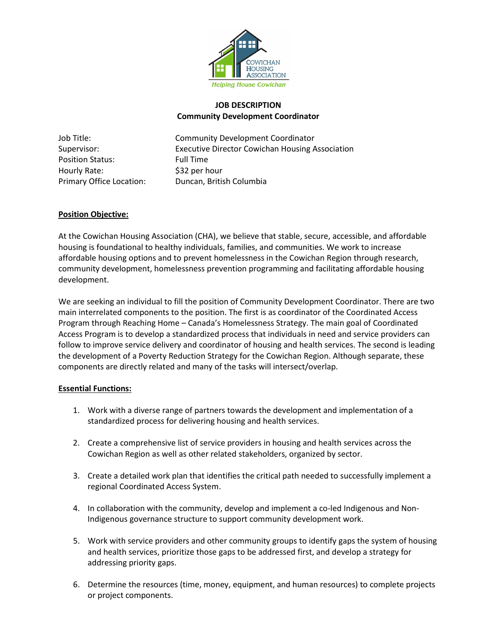

## **JOB DESCRIPTION Community Development Coordinator**

Position Status: Full Time Hourly Rate:  $\frac{1}{2}$  \$32 per hour

Job Title: Community Development Coordinator Supervisor: Executive Director Cowichan Housing Association Primary Office Location: Duncan, British Columbia

# **Position Objective:**

At the Cowichan Housing Association (CHA), we believe that stable, secure, accessible, and affordable housing is foundational to healthy individuals, families, and communities. We work to increase affordable housing options and to prevent homelessness in the Cowichan Region through research, community development, homelessness prevention programming and facilitating affordable housing development.

We are seeking an individual to fill the position of Community Development Coordinator. There are two main interrelated components to the position. The first is as coordinator of the Coordinated Access Program through Reaching Home – Canada's Homelessness Strategy. The main goal of Coordinated Access Program is to develop a standardized process that individuals in need and service providers can follow to improve service delivery and coordinator of housing and health services. The second is leading the development of a Poverty Reduction Strategy for the Cowichan Region. Although separate, these components are directly related and many of the tasks will intersect/overlap.

### **Essential Functions:**

- 1. Work with a diverse range of partners towards the development and implementation of a standardized process for delivering housing and health services.
- 2. Create a comprehensive list of service providers in housing and health services across the Cowichan Region as well as other related stakeholders, organized by sector.
- 3. Create a detailed work plan that identifies the critical path needed to successfully implement a regional Coordinated Access System.
- 4. In collaboration with the community, develop and implement a co-led Indigenous and Non-Indigenous governance structure to support community development work.
- 5. Work with service providers and other community groups to identify gaps the system of housing and health services, prioritize those gaps to be addressed first, and develop a strategy for addressing priority gaps.
- 6. Determine the resources (time, money, equipment, and human resources) to complete projects or project components.